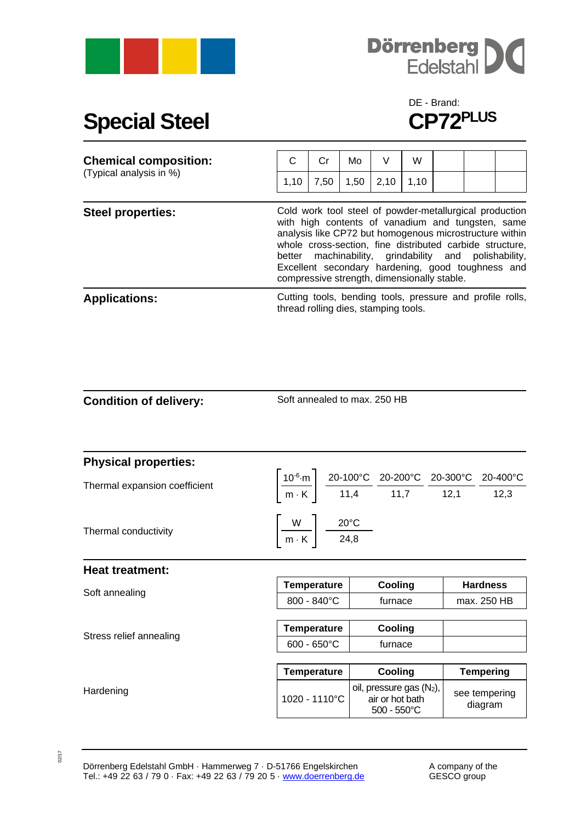



## **Special Steel**

## DE - Brand:<br>CP72<sup>PLUS</sup>

| <b>Chemical composition:</b><br>(Typical analysis in %) | С                                                                                     | Cr   | Mo   | V    | W    |  |                                                                                                                                                                                                                                                                                                            |
|---------------------------------------------------------|---------------------------------------------------------------------------------------|------|------|------|------|--|------------------------------------------------------------------------------------------------------------------------------------------------------------------------------------------------------------------------------------------------------------------------------------------------------------|
|                                                         | 1,10                                                                                  | 7,50 | 1,50 | 2,10 | 1,10 |  |                                                                                                                                                                                                                                                                                                            |
| <b>Steel properties:</b>                                | better machinability, grindability and<br>compressive strength, dimensionally stable. |      |      |      |      |  | Cold work tool steel of powder-metallurgical production<br>with high contents of vanadium and tungsten, same<br>analysis like CP72 but homogenous microstructure within<br>whole cross-section, fine distributed carbide structure,<br>polishability,<br>Excellent secondary hardening, good toughness and |
| <b>Applications:</b>                                    | thread rolling dies, stamping tools.                                                  |      |      |      |      |  | Cutting tools, bending tools, pressure and profile rolls,                                                                                                                                                                                                                                                  |

Soft annealed to max. 250 HB

| <b>Physical properties:</b>   |                                                            |                                                                                                                                                                                                                 |                          |  |
|-------------------------------|------------------------------------------------------------|-----------------------------------------------------------------------------------------------------------------------------------------------------------------------------------------------------------------|--------------------------|--|
| Thermal expansion coefficient |                                                            | $\left[\frac{10^{-6}\text{ m}}{\text{m} \cdot \text{K}}\right] \frac{\text{20-100°C}}{\text{11,4}} \frac{\text{20-200°C}}{\text{11,7}} \frac{\text{20-300°C}}{\text{12,1}} \frac{\text{20-400°C}}{\text{12,3}}$ |                          |  |
|                               |                                                            |                                                                                                                                                                                                                 |                          |  |
| Thermal conductivity          | $\left \frac{W}{m\cdot K}\right  \frac{20^{\circ}C}{24,8}$ |                                                                                                                                                                                                                 |                          |  |
| <b>Heat treatment:</b>        |                                                            |                                                                                                                                                                                                                 |                          |  |
| Soft annealing                | <b>Temperature</b>                                         | Cooling                                                                                                                                                                                                         | <b>Hardness</b>          |  |
|                               | $800 - 840^{\circ}$ C                                      | furnace                                                                                                                                                                                                         | max. 250 HB              |  |
|                               |                                                            |                                                                                                                                                                                                                 |                          |  |
| Stress relief annealing       | <b>Temperature</b>                                         | Cooling                                                                                                                                                                                                         |                          |  |
|                               | $600 - 650$ °C                                             | furnace                                                                                                                                                                                                         |                          |  |
|                               |                                                            |                                                                                                                                                                                                                 |                          |  |
|                               | <b>Temperature</b>                                         | Cooling                                                                                                                                                                                                         | <b>Tempering</b>         |  |
| Hardening                     |                                                            | oil, pressure gas $(N_2)$ ,<br>oil, pressure gas (Molton 1020 - 1110°C   air or hot bath<br>$500 - 550^{\circ}$ C                                                                                               | see tempering<br>diagram |  |